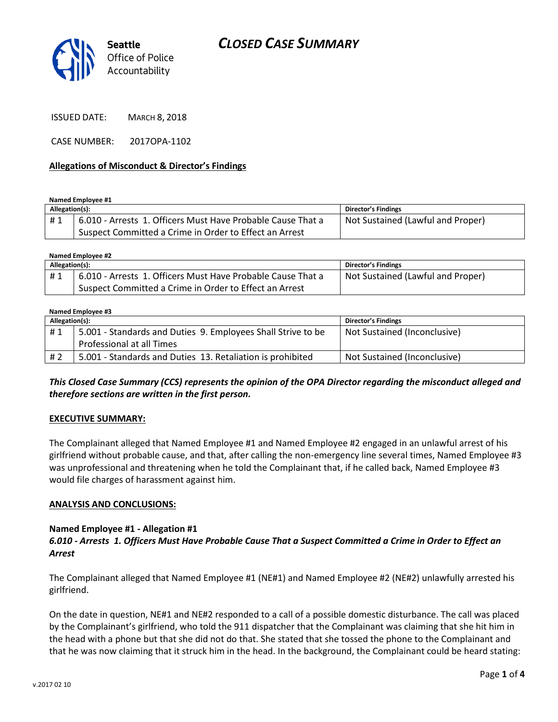

ISSUED DATE: MARCH 8, 2018

CASE NUMBER: 2017OPA-1102

#### **Allegations of Misconduct & Director's Findings**

**Named Employee #1**

| Allegation(s): |                                                             | Director's Findings               |
|----------------|-------------------------------------------------------------|-----------------------------------|
| #1             | 6.010 - Arrests 1. Officers Must Have Probable Cause That a | Not Sustained (Lawful and Proper) |
|                | Suspect Committed a Crime in Order to Effect an Arrest      |                                   |

**Named Employee #2**

| Allegation(s): |                                                             | Director's Findings               |
|----------------|-------------------------------------------------------------|-----------------------------------|
| #1             | 6.010 - Arrests 1. Officers Must Have Probable Cause That a | Not Sustained (Lawful and Proper) |
|                | Suspect Committed a Crime in Order to Effect an Arrest      |                                   |

#### **Named Employee #3 Allegation(s): Director's Findings** #1 | 5.001 - Standards and Duties 9. Employees Shall Strive to be Professional at all Times Not Sustained (Inconclusive) # 2 | 5.001 - Standards and Duties 13. Retaliation is prohibited | Not Sustained (Inconclusive)

# *This Closed Case Summary (CCS) represents the opinion of the OPA Director regarding the misconduct alleged and therefore sections are written in the first person.*

### **EXECUTIVE SUMMARY:**

The Complainant alleged that Named Employee #1 and Named Employee #2 engaged in an unlawful arrest of his girlfriend without probable cause, and that, after calling the non-emergency line several times, Named Employee #3 was unprofessional and threatening when he told the Complainant that, if he called back, Named Employee #3 would file charges of harassment against him.

#### **ANALYSIS AND CONCLUSIONS:**

### **Named Employee #1 - Allegation #1**

### *6.010 - Arrests 1. Officers Must Have Probable Cause That a Suspect Committed a Crime in Order to Effect an Arrest*

The Complainant alleged that Named Employee #1 (NE#1) and Named Employee #2 (NE#2) unlawfully arrested his girlfriend.

On the date in question, NE#1 and NE#2 responded to a call of a possible domestic disturbance. The call was placed by the Complainant's girlfriend, who told the 911 dispatcher that the Complainant was claiming that she hit him in the head with a phone but that she did not do that. She stated that she tossed the phone to the Complainant and that he was now claiming that it struck him in the head. In the background, the Complainant could be heard stating: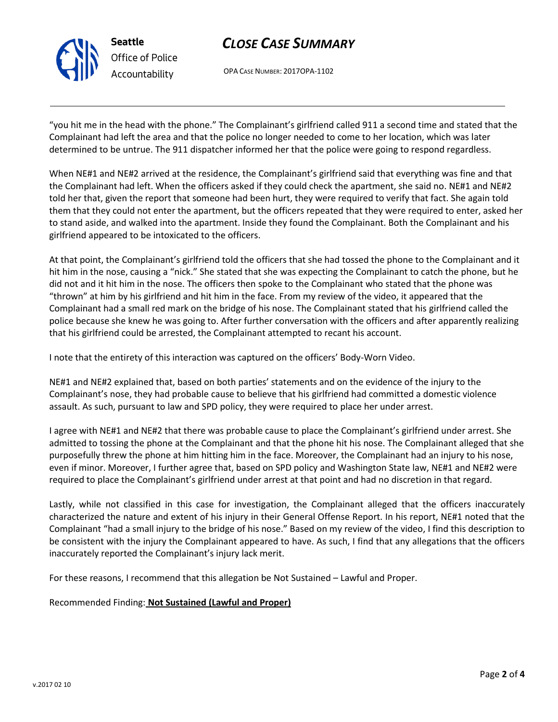

# *CLOSE CASE SUMMARY*

OPA CASE NUMBER: 2017OPA-1102

"you hit me in the head with the phone." The Complainant's girlfriend called 911 a second time and stated that the Complainant had left the area and that the police no longer needed to come to her location, which was later determined to be untrue. The 911 dispatcher informed her that the police were going to respond regardless.

When NE#1 and NE#2 arrived at the residence, the Complainant's girlfriend said that everything was fine and that the Complainant had left. When the officers asked if they could check the apartment, she said no. NE#1 and NE#2 told her that, given the report that someone had been hurt, they were required to verify that fact. She again told them that they could not enter the apartment, but the officers repeated that they were required to enter, asked her to stand aside, and walked into the apartment. Inside they found the Complainant. Both the Complainant and his girlfriend appeared to be intoxicated to the officers.

At that point, the Complainant's girlfriend told the officers that she had tossed the phone to the Complainant and it hit him in the nose, causing a "nick." She stated that she was expecting the Complainant to catch the phone, but he did not and it hit him in the nose. The officers then spoke to the Complainant who stated that the phone was "thrown" at him by his girlfriend and hit him in the face. From my review of the video, it appeared that the Complainant had a small red mark on the bridge of his nose. The Complainant stated that his girlfriend called the police because she knew he was going to. After further conversation with the officers and after apparently realizing that his girlfriend could be arrested, the Complainant attempted to recant his account.

I note that the entirety of this interaction was captured on the officers' Body-Worn Video.

NE#1 and NE#2 explained that, based on both parties' statements and on the evidence of the injury to the Complainant's nose, they had probable cause to believe that his girlfriend had committed a domestic violence assault. As such, pursuant to law and SPD policy, they were required to place her under arrest.

I agree with NE#1 and NE#2 that there was probable cause to place the Complainant's girlfriend under arrest. She admitted to tossing the phone at the Complainant and that the phone hit his nose. The Complainant alleged that she purposefully threw the phone at him hitting him in the face. Moreover, the Complainant had an injury to his nose, even if minor. Moreover, I further agree that, based on SPD policy and Washington State law, NE#1 and NE#2 were required to place the Complainant's girlfriend under arrest at that point and had no discretion in that regard.

Lastly, while not classified in this case for investigation, the Complainant alleged that the officers inaccurately characterized the nature and extent of his injury in their General Offense Report. In his report, NE#1 noted that the Complainant "had a small injury to the bridge of his nose." Based on my review of the video, I find this description to be consistent with the injury the Complainant appeared to have. As such, I find that any allegations that the officers inaccurately reported the Complainant's injury lack merit.

For these reasons, I recommend that this allegation be Not Sustained – Lawful and Proper.

Recommended Finding: **Not Sustained (Lawful and Proper)**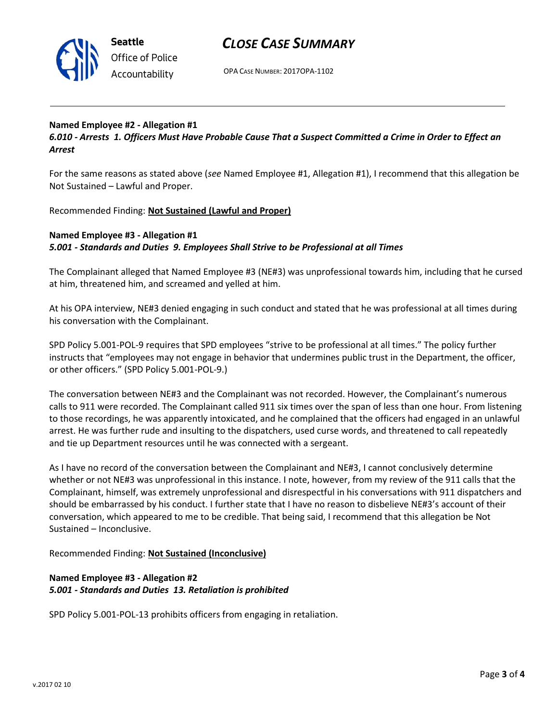

# *CLOSE CASE SUMMARY*

OPA CASE NUMBER: 2017OPA-1102

# **Named Employee #2 - Allegation #1**

*6.010 - Arrests 1. Officers Must Have Probable Cause That a Suspect Committed a Crime in Order to Effect an Arrest*

For the same reasons as stated above (*see* Named Employee #1, Allegation #1), I recommend that this allegation be Not Sustained – Lawful and Proper.

Recommended Finding: **Not Sustained (Lawful and Proper)**

### **Named Employee #3 - Allegation #1** *5.001 - Standards and Duties 9. Employees Shall Strive to be Professional at all Times*

The Complainant alleged that Named Employee #3 (NE#3) was unprofessional towards him, including that he cursed at him, threatened him, and screamed and yelled at him.

At his OPA interview, NE#3 denied engaging in such conduct and stated that he was professional at all times during his conversation with the Complainant.

SPD Policy 5.001-POL-9 requires that SPD employees "strive to be professional at all times." The policy further instructs that "employees may not engage in behavior that undermines public trust in the Department, the officer, or other officers." (SPD Policy 5.001-POL-9.)

The conversation between NE#3 and the Complainant was not recorded. However, the Complainant's numerous calls to 911 were recorded. The Complainant called 911 six times over the span of less than one hour. From listening to those recordings, he was apparently intoxicated, and he complained that the officers had engaged in an unlawful arrest. He was further rude and insulting to the dispatchers, used curse words, and threatened to call repeatedly and tie up Department resources until he was connected with a sergeant.

As I have no record of the conversation between the Complainant and NE#3, I cannot conclusively determine whether or not NE#3 was unprofessional in this instance. I note, however, from my review of the 911 calls that the Complainant, himself, was extremely unprofessional and disrespectful in his conversations with 911 dispatchers and should be embarrassed by his conduct. I further state that I have no reason to disbelieve NE#3's account of their conversation, which appeared to me to be credible. That being said, I recommend that this allegation be Not Sustained – Inconclusive.

### Recommended Finding: **Not Sustained (Inconclusive)**

# **Named Employee #3 - Allegation #2** *5.001 - Standards and Duties 13. Retaliation is prohibited*

SPD Policy 5.001-POL-13 prohibits officers from engaging in retaliation.